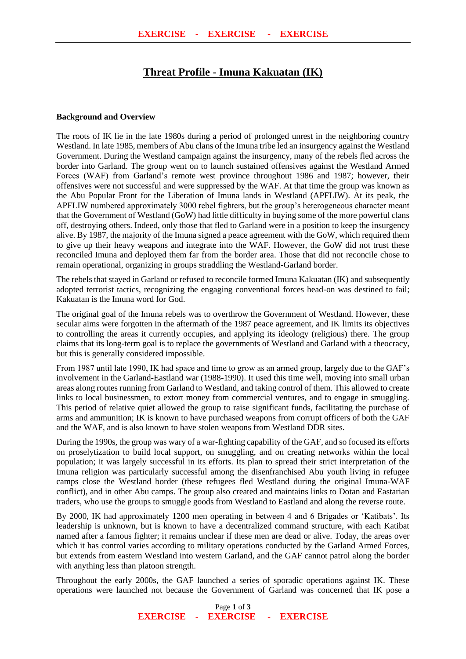# **Threat Profile - Imuna Kakuatan (IK)**

#### **Background and Overview**

The roots of IK lie in the late 1980s during a period of prolonged unrest in the neighboring country Westland. In late 1985, members of Abu clans of the Imuna tribe led an insurgency against the Westland Government. During the Westland campaign against the insurgency, many of the rebels fled across the border into Garland. The group went on to launch sustained offensives against the Westland Armed Forces (WAF) from Garland's remote west province throughout 1986 and 1987; however, their offensives were not successful and were suppressed by the WAF. At that time the group was known as the Abu Popular Front for the Liberation of Imuna lands in Westland (APFLIW). At its peak, the APFLIW numbered approximately 3000 rebel fighters, but the group's heterogeneous character meant that the Government of Westland (GoW) had little difficulty in buying some of the more powerful clans off, destroying others. Indeed, only those that fled to Garland were in a position to keep the insurgency alive. By 1987, the majority of the Imuna signed a peace agreement with the GoW, which required them to give up their heavy weapons and integrate into the WAF. However, the GoW did not trust these reconciled Imuna and deployed them far from the border area. Those that did not reconcile chose to remain operational, organizing in groups straddling the Westland-Garland border.

The rebels that stayed in Garland or refused to reconcile formed Imuna Kakuatan (IK) and subsequently adopted terrorist tactics, recognizing the engaging conventional forces head-on was destined to fail; Kakuatan is the Imuna word for God.

The original goal of the Imuna rebels was to overthrow the Government of Westland. However, these secular aims were forgotten in the aftermath of the 1987 peace agreement, and IK limits its objectives to controlling the areas it currently occupies, and applying its ideology (religious) there. The group claims that its long-term goal is to replace the governments of Westland and Garland with a theocracy, but this is generally considered impossible.

From 1987 until late 1990, IK had space and time to grow as an armed group, largely due to the GAF's involvement in the Garland-Eastland war (1988-1990). It used this time well, moving into small urban areas along routes running from Garland to Westland, and taking control of them. This allowed to create links to local businessmen, to extort money from commercial ventures, and to engage in smuggling. This period of relative quiet allowed the group to raise significant funds, facilitating the purchase of arms and ammunition; IK is known to have purchased weapons from corrupt officers of both the GAF and the WAF, and is also known to have stolen weapons from Westland DDR sites.

During the 1990s, the group was wary of a war-fighting capability of the GAF, and so focused its efforts on proselytization to build local support, on smuggling, and on creating networks within the local population; it was largely successful in its efforts. Its plan to spread their strict interpretation of the Imuna religion was particularly successful among the disenfranchised Abu youth living in refugee camps close the Westland border (these refugees fled Westland during the original Imuna-WAF conflict), and in other Abu camps. The group also created and maintains links to Dotan and Eastarian traders, who use the groups to smuggle goods from Westland to Eastland and along the reverse route.

By 2000, IK had approximately 1200 men operating in between 4 and 6 Brigades or 'Katibats'. Its leadership is unknown, but is known to have a decentralized command structure, with each Katibat named after a famous fighter; it remains unclear if these men are dead or alive. Today, the areas over which it has control varies according to military operations conducted by the Garland Armed Forces, but extends from eastern Westland into western Garland, and the GAF cannot patrol along the border with anything less than platoon strength.

Throughout the early 2000s, the GAF launched a series of sporadic operations against IK. These operations were launched not because the Government of Garland was concerned that IK pose a

> Page **1** of **3 EXERCISE - EXERCISE - EXERCISE**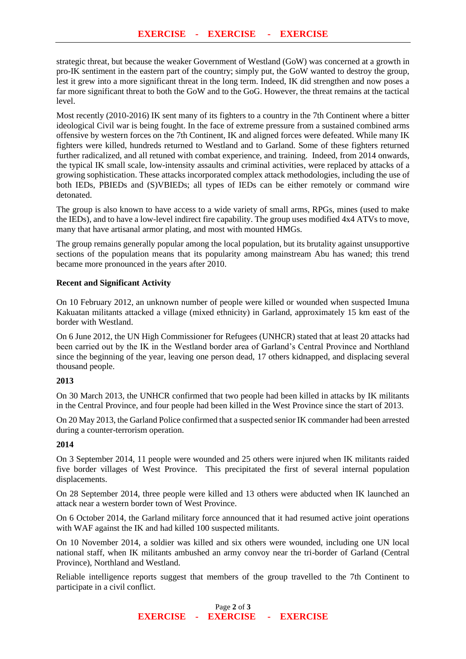strategic threat, but because the weaker Government of Westland (GoW) was concerned at a growth in pro-IK sentiment in the eastern part of the country; simply put, the GoW wanted to destroy the group, lest it grew into a more significant threat in the long term. Indeed, IK did strengthen and now poses a far more significant threat to both the GoW and to the GoG. However, the threat remains at the tactical level.

Most recently (2010-2016) IK sent many of its fighters to a country in the 7th Continent where a bitter ideological Civil war is being fought. In the face of extreme pressure from a sustained combined arms offensive by western forces on the 7th Continent, IK and aligned forces were defeated. While many IK fighters were killed, hundreds returned to Westland and to Garland. Some of these fighters returned further radicalized, and all retuned with combat experience, and training. Indeed, from 2014 onwards, the typical IK small scale, low-intensity assaults and criminal activities, were replaced by attacks of a growing sophistication. These attacks incorporated complex attack methodologies, including the use of both IEDs, PBIEDs and (S)VBIEDs; all types of IEDs can be either remotely or command wire detonated.

The group is also known to have access to a wide variety of small arms, RPGs, mines (used to make the IEDs), and to have a low-level indirect fire capability. The group uses modified 4x4 ATVs to move, many that have artisanal armor plating, and most with mounted HMGs.

The group remains generally popular among the local population, but its brutality against unsupportive sections of the population means that its popularity among mainstream Abu has waned; this trend became more pronounced in the years after 2010.

#### **Recent and Significant Activity**

On 10 February 2012, an unknown number of people were killed or wounded when suspected Imuna Kakuatan militants attacked a village (mixed ethnicity) in Garland, approximately 15 km east of the border with Westland.

On 6 June 2012, the UN High Commissioner for Refugees (UNHCR) stated that at least 20 attacks had been carried out by the IK in the Westland border area of Garland's Central Province and Northland since the beginning of the year, leaving one person dead, 17 others kidnapped, and displacing several thousand people.

## **2013**

On 30 March 2013, the UNHCR confirmed that two people had been killed in attacks by IK militants in the Central Province, and four people had been killed in the West Province since the start of 2013.

On 20 May 2013, the Garland Police confirmed that a suspected senior IK commander had been arrested during a counter-terrorism operation.

## **2014**

On 3 September 2014, 11 people were wounded and 25 others were injured when IK militants raided five border villages of West Province. This precipitated the first of several internal population displacements.

On 28 September 2014, three people were killed and 13 others were abducted when IK launched an attack near a western border town of West Province.

On 6 October 2014, the Garland military force announced that it had resumed active joint operations with WAF against the IK and had killed 100 suspected militants.

On 10 November 2014, a soldier was killed and six others were wounded, including one UN local national staff, when IK militants ambushed an army convoy near the tri-border of Garland (Central Province), Northland and Westland.

Reliable intelligence reports suggest that members of the group travelled to the 7th Continent to participate in a civil conflict.

> Page **2** of **3 EXERCISE - EXERCISE - EXERCISE**